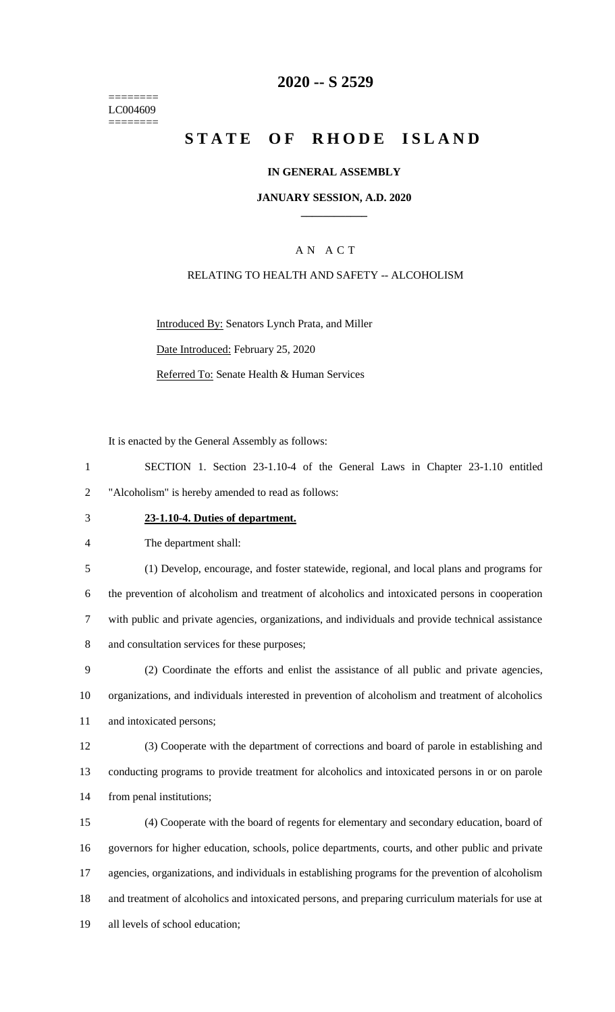======== LC004609 ========

## **-- S 2529**

# **STATE OF RHODE ISLAND**

### **IN GENERAL ASSEMBLY**

### **JANUARY SESSION, A.D. 2020 \_\_\_\_\_\_\_\_\_\_\_\_**

## A N A C T

### RELATING TO HEALTH AND SAFETY -- ALCOHOLISM

Introduced By: Senators Lynch Prata, and Miller Date Introduced: February 25, 2020 Referred To: Senate Health & Human Services

It is enacted by the General Assembly as follows:

 SECTION 1. Section 23-1.10-4 of the General Laws in Chapter 23-1.10 entitled "Alcoholism" is hereby amended to read as follows:

#### **23-1.10-4. Duties of department.**

The department shall:

 (1) Develop, encourage, and foster statewide, regional, and local plans and programs for the prevention of alcoholism and treatment of alcoholics and intoxicated persons in cooperation with public and private agencies, organizations, and individuals and provide technical assistance and consultation services for these purposes;

 (2) Coordinate the efforts and enlist the assistance of all public and private agencies, organizations, and individuals interested in prevention of alcoholism and treatment of alcoholics and intoxicated persons;

 (3) Cooperate with the department of corrections and board of parole in establishing and conducting programs to provide treatment for alcoholics and intoxicated persons in or on parole from penal institutions;

 (4) Cooperate with the board of regents for elementary and secondary education, board of governors for higher education, schools, police departments, courts, and other public and private agencies, organizations, and individuals in establishing programs for the prevention of alcoholism and treatment of alcoholics and intoxicated persons, and preparing curriculum materials for use at all levels of school education;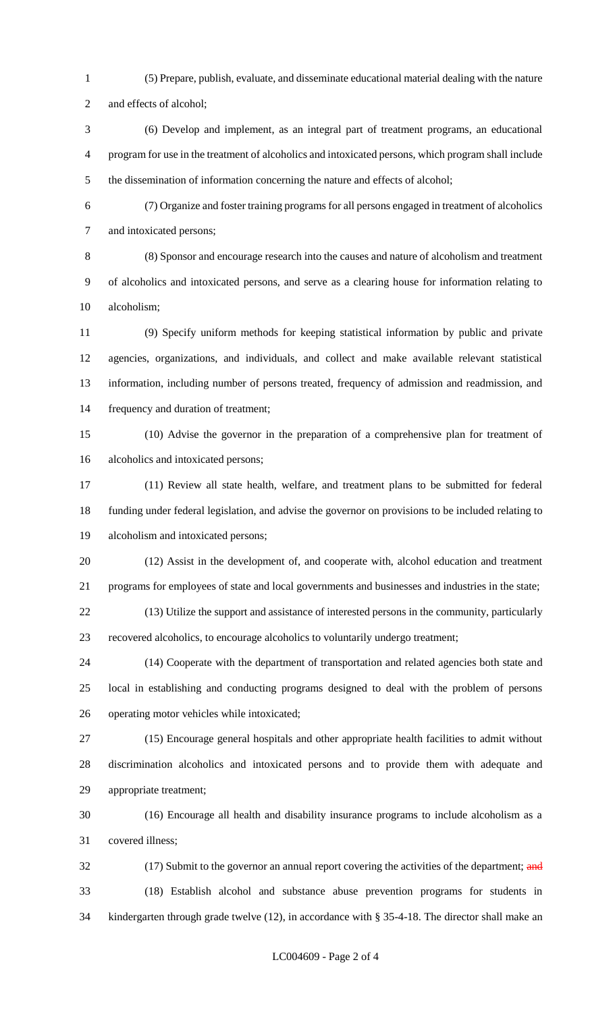(5) Prepare, publish, evaluate, and disseminate educational material dealing with the nature

and effects of alcohol;

 (6) Develop and implement, as an integral part of treatment programs, an educational program for use in the treatment of alcoholics and intoxicated persons, which program shall include the dissemination of information concerning the nature and effects of alcohol;

 (7) Organize and foster training programs for all persons engaged in treatment of alcoholics and intoxicated persons;

 (8) Sponsor and encourage research into the causes and nature of alcoholism and treatment of alcoholics and intoxicated persons, and serve as a clearing house for information relating to alcoholism;

 (9) Specify uniform methods for keeping statistical information by public and private agencies, organizations, and individuals, and collect and make available relevant statistical information, including number of persons treated, frequency of admission and readmission, and frequency and duration of treatment;

 (10) Advise the governor in the preparation of a comprehensive plan for treatment of alcoholics and intoxicated persons;

 (11) Review all state health, welfare, and treatment plans to be submitted for federal funding under federal legislation, and advise the governor on provisions to be included relating to alcoholism and intoxicated persons;

 (12) Assist in the development of, and cooperate with, alcohol education and treatment programs for employees of state and local governments and businesses and industries in the state;

 (13) Utilize the support and assistance of interested persons in the community, particularly recovered alcoholics, to encourage alcoholics to voluntarily undergo treatment;

 (14) Cooperate with the department of transportation and related agencies both state and local in establishing and conducting programs designed to deal with the problem of persons operating motor vehicles while intoxicated;

 (15) Encourage general hospitals and other appropriate health facilities to admit without discrimination alcoholics and intoxicated persons and to provide them with adequate and appropriate treatment;

 (16) Encourage all health and disability insurance programs to include alcoholism as a covered illness;

32 (17) Submit to the governor an annual report covering the activities of the department; and (18) Establish alcohol and substance abuse prevention programs for students in kindergarten through grade twelve (12), in accordance with § 35-4-18. The director shall make an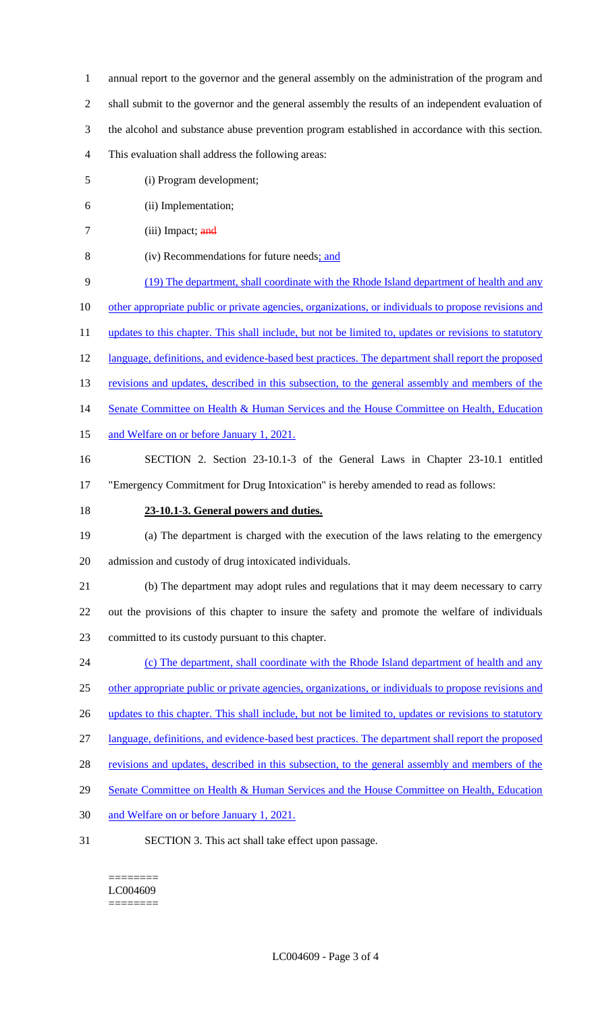- 1 annual report to the governor and the general assembly on the administration of the program and
- 2 shall submit to the governor and the general assembly the results of an independent evaluation of
- 3 the alcohol and substance abuse prevention program established in accordance with this section.
- 4 This evaluation shall address the following areas:
- 5 (i) Program development;
- 6 (ii) Implementation;
- 7 (iii) Impact; and
- 8 (iv) Recommendations for future needs; and
- 9 (19) The department, shall coordinate with the Rhode Island department of health and any
- 10 other appropriate public or private agencies, organizations, or individuals to propose revisions and
- 11 updates to this chapter. This shall include, but not be limited to, updates or revisions to statutory
- 12 language, definitions, and evidence-based best practices. The department shall report the proposed
- 13 revisions and updates, described in this subsection, to the general assembly and members of the
- 14 Senate Committee on Health & Human Services and the House Committee on Health, Education
- 15 and Welfare on or before January 1, 2021.
- 16 SECTION 2. Section 23-10.1-3 of the General Laws in Chapter 23-10.1 entitled
- 17 "Emergency Commitment for Drug Intoxication" is hereby amended to read as follows:
- 18 **23-10.1-3. General powers and duties.**
- 19 (a) The department is charged with the execution of the laws relating to the emergency 20 admission and custody of drug intoxicated individuals.
- 21 (b) The department may adopt rules and regulations that it may deem necessary to carry 22 out the provisions of this chapter to insure the safety and promote the welfare of individuals 23 committed to its custody pursuant to this chapter.
- 24 (c) The department, shall coordinate with the Rhode Island department of health and any 25 other appropriate public or private agencies, organizations, or individuals to propose revisions and 26 updates to this chapter. This shall include, but not be limited to, updates or revisions to statutory
- 
- 27 language, definitions, and evidence-based best practices. The department shall report the proposed
- 28 revisions and updates, described in this subsection, to the general assembly and members of the
- 29 Senate Committee on Health & Human Services and the House Committee on Health, Education
- 30 and Welfare on or before January 1, 2021.
- 31 SECTION 3. This act shall take effect upon passage.

======== LC004609 ========